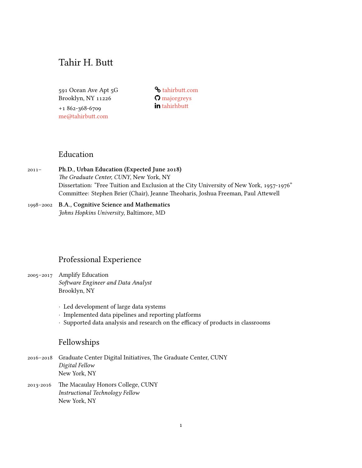# Tahir H. Butt

591 Ocean Ave Apt 5G Brooklyn, NY 11226

+1 862-368-6709 [me@tahirbutt.com](mailto:me@tahirbutt.com)

**S**[tahirbutt.com](http://tahirbutt.com) [majorgreys](http://github.com/majorgreys) in [tahirhbutt](http://linkedin.com/in/tahirhbutt)

## Education

2011– **Ph.D., Urban Education (Expected June 2018)** *The Graduate Center, CUNY*, New York, NY Dissertation: "Free Tuition and Exclusion at the City University of New York, 1957-1976" Committee: Stephen Brier (Chair), Jeanne Theoharis, Joshua Freeman, Paul Attewell

### 1998–2002 **B.A., Cognitive Science and Mathematics** *Johns Hopkins University*, Baltimore, MD

## Professional Experience

- 2005–2017 Amplify Education *Software Engineer and Data Analyst* Brooklyn, NY
	- *·* Led development of large data systems
	- *·* Implemented data pipelines and reporting platforms
	- *·* Supported data analysis and research on the efficacy of products in classrooms

# Fellowships

- 2016–2018 Graduate Center Digital Initiatives, The Graduate Center, CUNY *Digital Fellow* New York, NY
- 2013-2016 The Macaulay Honors College, CUNY *Instructional Technology Fellow* New York, NY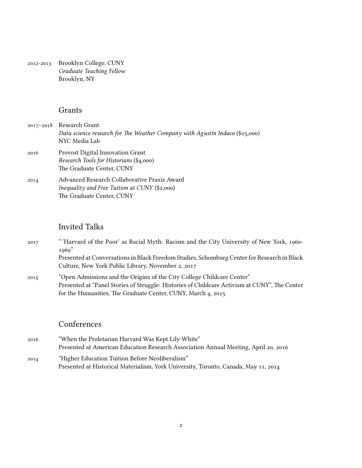2012-2013 Brooklyn College, CUNY *Graduate Teaching Fellow* Brooklyn, NY

#### Grants

- 2017–2018 Research Grant *Data science research for The Weather Company with Agustín Indaco* (\$25,000) NYC Media Lab
- 2016 Provost Digital Innovation Grant *Research Tools for Historians* (\$4,000) The Graduate Center, CUNY
- 2014 Advanced Research Collaborative Praxis Award *Inequality and Free Tuition at CUNY* (\$2,000) The Graduate Center, CUNY

### Invited Talks

- 2017 " 'Harvard of the Poor' as Racial Myth: Racism and the City University of New York, 1960- 1969" Presented at Conversations in Black Freedom Studies, Schomburg Center for Research in Black Culture, New York Public Library, November 2, 2017
- 2015 "Open Admissions and the Origins of the City College Childcare Center" Presented at "Panel Stories of Struggle: Histories of Childcare Activism at CUNY", The Center for the Humanities, The Graduate Center, CUNY, March 4, 2015

## Conferences

- 2016 "When the Proletarian Harvard Was Kept Lily-White" Presented at American Education Research Association Annual Meeting, April 20, 2016 2014 "Higher Education Tuition Before Neoliberalism"
	- Presented at Historical Materialism, York University, Toronto, Canada, May 11, 2014